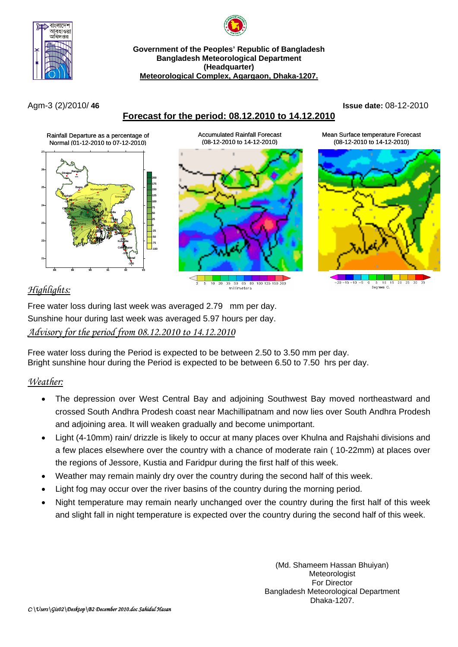

**Government of the Peoples' Republic of Bangladesh Bangladesh Meteorological Department (Headquarter) Meteorological Complex, Agargaon, Dhaka-1207.**

## **Forecast for the period: 08.12.2010 to 14.12.2010**

Agm-3 (2)/2010/ **46 Issue date:** 08-12-2010

Mean Surface temperature Forecast



Accumulated Rainfall Forecast (08-12-2010 to 14-12-2010)

 $100, 125$  $\frac{1}{10}$  $\overline{20}$  $\overline{35}$  $\overline{50}$  $65$  $\overline{80}$ millimeters



# *Highlights:*

Free water loss during last week was averaged 2.79 mm per day. Sunshine hour during last week was averaged 5.97 hours per day. *Advisory for the period from 08.12.2010 to 14.12.2010*

Free water loss during the Period is expected to be between 2.50 to 3.50 mm per day. Bright sunshine hour during the Period is expected to be between 6.50 to 7.50 hrs per day.

## *Weather:*

- The depression over West Central Bay and adjoining Southwest Bay moved northeastward and crossed South Andhra Prodesh coast near Machillipatnam and now lies over South Andhra Prodesh and adjoining area. It will weaken gradually and become unimportant.
- Light (4-10mm) rain/ drizzle is likely to occur at many places over Khulna and Rajshahi divisions and a few places elsewhere over the country with a chance of moderate rain ( 10-22mm) at places over the regions of Jessore, Kustia and Faridpur during the first half of this week.
- Weather may remain mainly dry over the country during the second half of this week.
- Light fog may occur over the river basins of the country during the morning period.
- Night temperature may remain nearly unchanged over the country during the first half of this week and slight fall in night temperature is expected over the country during the second half of this week.

(Md. Shameem Hassan Bhuiyan) Meteorologist For Director Bangladesh Meteorological Department Dhaka-1207.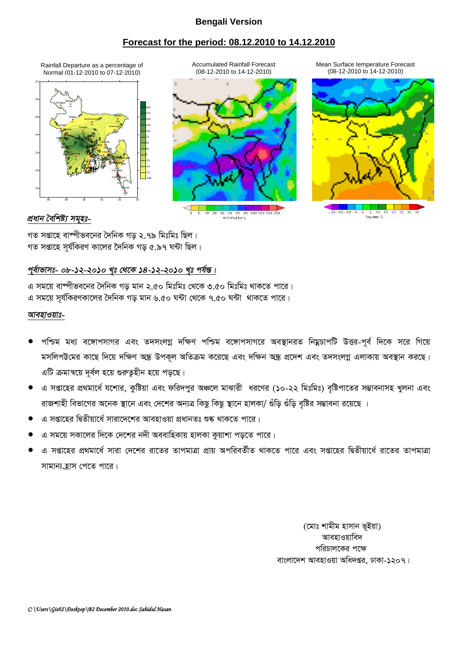### **Bengali Version**

### **Forecast for the period: 08.12.2010 to 14.12.2010**

Rainfall Departure as a percentage of  $\overline{a}$  Accumulated Rainfall Forecast Mean Surface temperature Forecast<br>Normal (01-12-2010 to 07-12-2010) (08-12-2010 to 14-12-2010) (08-12-2010 (08-12-2010 to 14-12-2010) Normal (01-12-2010 to 07-12-2010)





10 20 35 50 65 80 100 125 150 200 - --- -- --<br>millimeters



*প্ৰধান বৈশিষ্ট্য সমৃহঃ-*

গত সপ্তাহে বাষ্পীভবনের দৈনিক গড ২.৭৯ মিঃমিঃ ছিল। গত সপ্তাহে সূর্যকিরণ কালের দৈনিক গড় ৫.৯৭ ঘন্টা ছিল।

## পূৰ্বাভাসঃ- ০৮-<u>১২-২০১০ খৃঃ থেকে ১৪-১২-২০১০ খৃঃ পৰ্যন্ত।</u>

এ সময়ে বাম্পীভবনের দৈনিক গড় মান ২.৫০ মিঃমিঃ থেকে ৩.৫০ মিঃমিঃ থাকতে পারে। এ সময়ে সূর্যকিরণকালের দৈনিক গড় মান ৬.৫০ ঘন্টা থেকে ৭.৫০ ঘন্টা থাকতে পারে।

#### *আবহাওয়াঃ-*

- পশ্চিম মধ্য বঙ্গোপসাগর এবং তদসংলগ্ন দক্ষিণ পশ্চিম বঙ্গোপসাগরে অবস্থানরত নিম্নচাপটি উত্তর-পূর্ব দিকে সরে গিয়ে মসলিপট্টমের কাছে দিয়ে দক্ষিণ অন্ধ্র উপকূল অতিক্রম করেছে এবং দক্ষিন অন্ধ্র প্রদেশ এবং তদসংলগ্ন এলাকায় অবস্থান করছে। এটি ক্রমান্বয়ে দূর্বল হয়ে গুরুতূহীন হয়ে পড়ছে।
- এ সপ্তাহের প্রথমার্ধে যশোর, কুষ্টিয়া এবং ফরিদপুর অঞ্চলে মাঝারী ধরণের (১০-২২ মিঃমিঃ) বৃষ্টিপাতের সম্ভাবনাসহ খুলনা এবং রাজশাহী বিভাগের অনেক স্থানে এবং দেশের অন্যত্র কিছু কিছু স্থানে হালকা/ গুঁড়ি গুঁড়ি বৃষ্টির সম্ভাবনা রয়েছে ।
- এ সপ্তাহের দ্বিতীয়ার্ধে সারাদেশের আবহাওয়া প্রধানতঃ শুষ্ক থাকতে পারে।
- এ সময়ে সকালের দিকে দেশের নদী অববাহিকায় হালকা কয়াশা পডতে পারে।
- এ সপ্তাহের প্রথমার্ধে সারা দেশের রাতের তাপমাত্রা প্রায় অপরিবর্তীত থাকতে পারে এবং সপ্তাহের দ্বিতীয়ার্ধে রাতের তাপমাত্রা সামান্য হ্রাস পেতে পারে।

(মোঃ শামীম হাসান ভইয়া) আবহাওয়াবিদ পরিচালকের পক্ষে বাংলাদেশ আবহাওয়া অধিদপ্তর, ঢাকা-১২০৭।